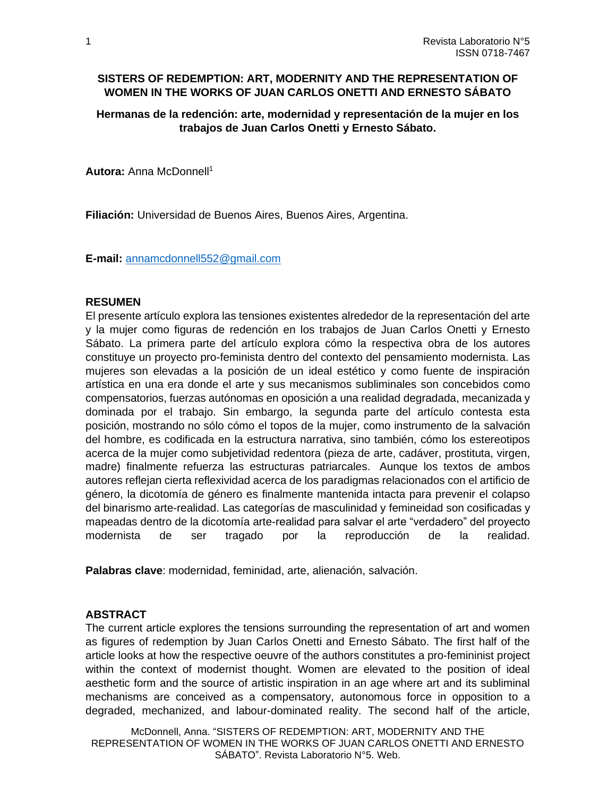### **SISTERS OF REDEMPTION: ART, MODERNITY AND THE REPRESENTATION OF WOMEN IN THE WORKS OF JUAN CARLOS ONETTI AND ERNESTO SÁBATO**

**Hermanas de la redención: arte, modernidad y representación de la mujer en los trabajos de Juan Carlos Onetti y Ernesto Sábato.**

**Autora:** Anna McDonnell<sup>1</sup>

**Filiación:** Universidad de Buenos Aires, Buenos Aires, Argentina.

**E-mail:** [annamcdonnell552@gmail.com](mailto:%20annamcdonnell552@gmail.com)

#### **RESUMEN**

El presente artículo explora las tensiones existentes alrededor de la representación del arte y la mujer como figuras de redención en los trabajos de Juan Carlos Onetti y Ernesto Sábato. La primera parte del artículo explora cómo la respectiva obra de los autores constituye un proyecto pro-feminista dentro del contexto del pensamiento modernista. Las mujeres son elevadas a la posición de un ideal estético y como fuente de inspiración artística en una era donde el arte y sus mecanismos subliminales son concebidos como compensatorios, fuerzas autónomas en oposición a una realidad degradada, mecanizada y dominada por el trabajo. Sin embargo, la segunda parte del artículo contesta esta posición, mostrando no sólo cómo el topos de la mujer, como instrumento de la salvación del hombre, es codificada en la estructura narrativa, sino también, cómo los estereotipos acerca de la mujer como subjetividad redentora (pieza de arte, cadáver, prostituta, virgen, madre) finalmente refuerza las estructuras patriarcales. Aunque los textos de ambos autores reflejan cierta reflexividad acerca de los paradigmas relacionados con el artificio de género, la dicotomía de género es finalmente mantenida intacta para prevenir el colapso del binarismo arte-realidad. Las categorías de masculinidad y femineidad son cosificadas y mapeadas dentro de la dicotomía arte-realidad para salvar el arte "verdadero" del proyecto modernista de ser tragado por la reproducción de la realidad.

**Palabras clave**: modernidad, feminidad, arte, alienación, salvación.

### **ABSTRACT**

The current article explores the tensions surrounding the representation of art and women as figures of redemption by Juan Carlos Onetti and Ernesto Sábato. The first half of the article looks at how the respective oeuvre of the authors constitutes a pro-femininist project within the context of modernist thought. Women are elevated to the position of ideal aesthetic form and the source of artistic inspiration in an age where art and its subliminal mechanisms are conceived as a compensatory, autonomous force in opposition to a degraded, mechanized, and labour-dominated reality. The second half of the article,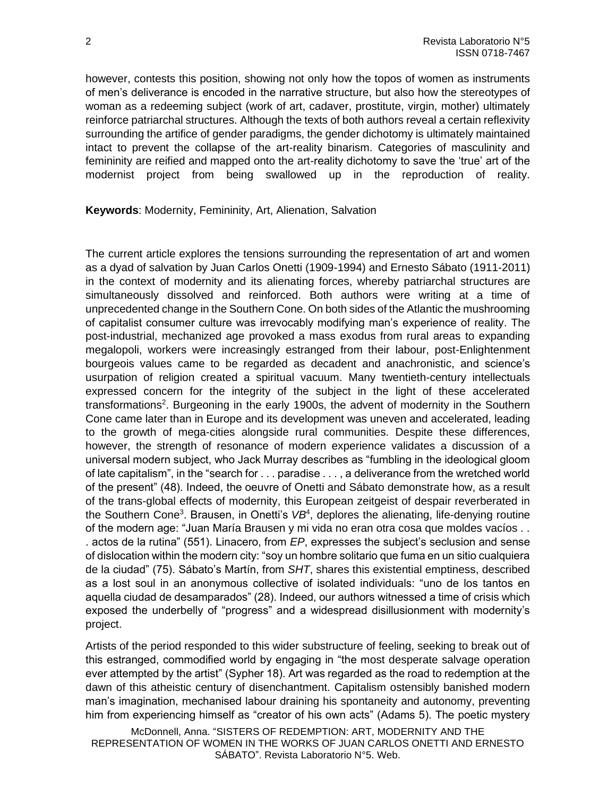however, contests this position, showing not only how the topos of women as instruments of men's deliverance is encoded in the narrative structure, but also how the stereotypes of woman as a redeeming subject (work of art, cadaver, prostitute, virgin, mother) ultimately reinforce patriarchal structures. Although the texts of both authors reveal a certain reflexivity surrounding the artifice of gender paradigms, the gender dichotomy is ultimately maintained intact to prevent the collapse of the art-reality binarism. Categories of masculinity and femininity are reified and mapped onto the art-reality dichotomy to save the 'true' art of the modernist project from being swallowed up in the reproduction of reality.

**Keywords**: Modernity, Femininity, Art, Alienation, Salvation

The current article explores the tensions surrounding the representation of art and women as a dyad of salvation by Juan Carlos Onetti (1909-1994) and Ernesto Sábato (1911-2011) in the context of modernity and its alienating forces, whereby patriarchal structures are simultaneously dissolved and reinforced. Both authors were writing at a time of unprecedented change in the Southern Cone. On both sides of the Atlantic the mushrooming of capitalist consumer culture was irrevocably modifying man's experience of reality. The post-industrial, mechanized age provoked a mass exodus from rural areas to expanding megalopoli, workers were increasingly estranged from their labour, post-Enlightenment bourgeois values came to be regarded as decadent and anachronistic, and science's usurpation of religion created a spiritual vacuum. Many twentieth-century intellectuals expressed concern for the integrity of the subject in the light of these accelerated transformations<sup>2</sup>. Burgeoning in the early 1900s, the advent of modernity in the Southern Cone came later than in Europe and its development was uneven and accelerated, leading to the growth of mega-cities alongside rural communities. Despite these differences, however, the strength of resonance of modern experience validates a discussion of a universal modern subject, who Jack Murray describes as "fumbling in the ideological gloom of late capitalism", in the "search for . . . paradise . . . , a deliverance from the wretched world of the present" (48). Indeed, the oeuvre of Onetti and Sábato demonstrate how, as a result of the trans-global effects of modernity, this European zeitgeist of despair reverberated in the Southern Cone<sup>3</sup>. Brausen, in Onetti's VB<sup>4</sup>, deplores the alienating, life-denying routine of the modern age: "Juan María Brausen y mi vida no eran otra cosa que moldes vacíos . . . actos de la rutina" (551). Linacero, from *EP*, expresses the subject's seclusion and sense of dislocation within the modern city: "soy un hombre solitario que fuma en un sitio cualquiera de la ciudad" (75). Sábato's Martín, from *SHT*, shares this existential emptiness, described as a lost soul in an anonymous collective of isolated individuals: "uno de los tantos en aquella ciudad de desamparados" (28). Indeed, our authors witnessed a time of crisis which exposed the underbelly of "progress" and a widespread disillusionment with modernity's project.

Artists of the period responded to this wider substructure of feeling, seeking to break out of this estranged, commodified world by engaging in "the most desperate salvage operation ever attempted by the artist" (Sypher 18). Art was regarded as the road to redemption at the dawn of this atheistic century of disenchantment. Capitalism ostensibly banished modern man's imagination, mechanised labour draining his spontaneity and autonomy, preventing him from experiencing himself as "creator of his own acts" (Adams 5). The poetic mystery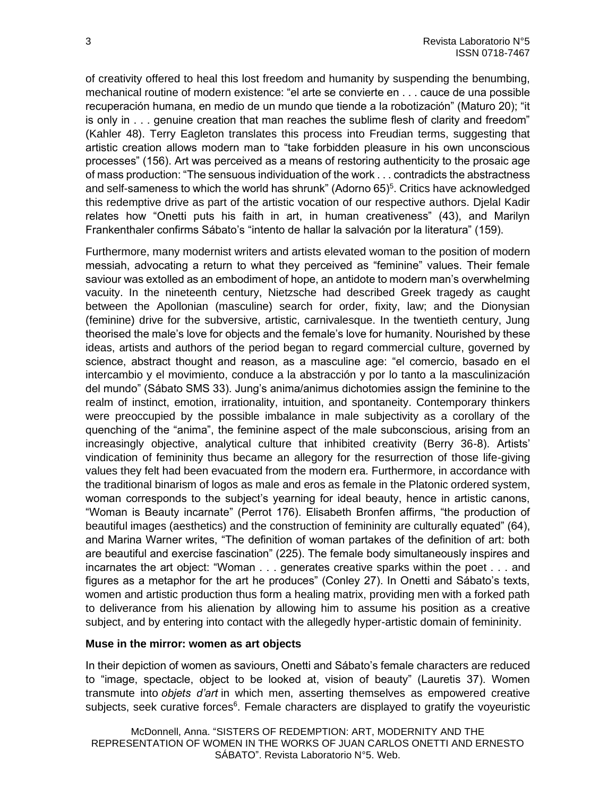of creativity offered to heal this lost freedom and humanity by suspending the benumbing, mechanical routine of modern existence: "el arte se convierte en . . . cauce de una possible recuperación humana, en medio de un mundo que tiende a la robotización" (Maturo 20); "it is only in . . . genuine creation that man reaches the sublime flesh of clarity and freedom" (Kahler 48). Terry Eagleton translates this process into Freudian terms, suggesting that artistic creation allows modern man to "take forbidden pleasure in his own unconscious processes" (156). Art was perceived as a means of restoring authenticity to the prosaic age of mass production: "The sensuous individuation of the work . . . contradicts the abstractness and self-sameness to which the world has shrunk" (Adorno  $65$ )<sup>5</sup>. Critics have acknowledged this redemptive drive as part of the artistic vocation of our respective authors. Djelal Kadir relates how "Onetti puts his faith in art, in human creativeness" (43), and Marilyn Frankenthaler confirms Sábato's "intento de hallar la salvación por la literatura" (159).

Furthermore, many modernist writers and artists elevated woman to the position of modern messiah, advocating a return to what they perceived as "feminine" values. Their female saviour was extolled as an embodiment of hope, an antidote to modern man's overwhelming vacuity. In the nineteenth century, Nietzsche had described Greek tragedy as caught between the Apollonian (masculine) search for order, fixity, law; and the Dionysian (feminine) drive for the subversive, artistic, carnivalesque. In the twentieth century, Jung theorised the male's love for objects and the female's love for humanity. Nourished by these ideas, artists and authors of the period began to regard commercial culture, governed by science, abstract thought and reason, as a masculine age: "el comercio, basado en el intercambio y el movimiento, conduce a la abstracción y por lo tanto a la masculinización del mundo" (Sábato SMS 33). Jung's anima/animus dichotomies assign the feminine to the realm of instinct, emotion, irrationality, intuition, and spontaneity. Contemporary thinkers were preoccupied by the possible imbalance in male subjectivity as a corollary of the quenching of the "anima", the feminine aspect of the male subconscious, arising from an increasingly objective, analytical culture that inhibited creativity (Berry 36-8). Artists' vindication of femininity thus became an allegory for the resurrection of those life-giving values they felt had been evacuated from the modern era. Furthermore, in accordance with the traditional binarism of logos as male and eros as female in the Platonic ordered system, woman corresponds to the subject's yearning for ideal beauty, hence in artistic canons, "Woman is Beauty incarnate" (Perrot 176). Elisabeth Bronfen affirms, "the production of beautiful images (aesthetics) and the construction of femininity are culturally equated" (64), and Marina Warner writes, "The definition of woman partakes of the definition of art: both are beautiful and exercise fascination" (225). The female body simultaneously inspires and incarnates the art object: "Woman . . . generates creative sparks within the poet . . . and figures as a metaphor for the art he produces" (Conley 27). In Onetti and Sábato's texts, women and artistic production thus form a healing matrix, providing men with a forked path to deliverance from his alienation by allowing him to assume his position as a creative subject, and by entering into contact with the allegedly hyper-artistic domain of femininity.

#### **Muse in the mirror: women as art objects**

In their depiction of women as saviours, Onetti and Sábato's female characters are reduced to "image, spectacle, object to be looked at, vision of beauty" (Lauretis 37). Women transmute into *objets d'art* in which men, asserting themselves as empowered creative subjects, seek curative forces<sup>6</sup>. Female characters are displayed to gratify the voyeuristic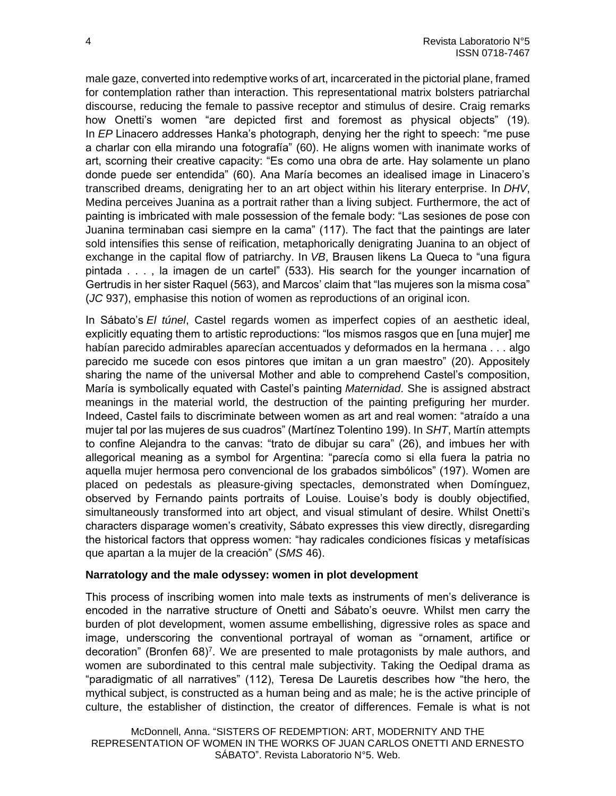male gaze, converted into redemptive works of art, incarcerated in the pictorial plane, framed for contemplation rather than interaction. This representational matrix bolsters patriarchal discourse, reducing the female to passive receptor and stimulus of desire. Craig remarks how Onetti's women "are depicted first and foremost as physical objects" (19). In *EP* Linacero addresses Hanka's photograph, denying her the right to speech: "me puse a charlar con ella mirando una fotografía" (60). He aligns women with inanimate works of art, scorning their creative capacity: "Es como una obra de arte. Hay solamente un plano donde puede ser entendida" (60). Ana María becomes an idealised image in Linacero's transcribed dreams, denigrating her to an art object within his literary enterprise. In *DHV*, Medina perceives Juanina as a portrait rather than a living subject. Furthermore, the act of painting is imbricated with male possession of the female body: "Las sesiones de pose con Juanina terminaban casi siempre en la cama" (117). The fact that the paintings are later sold intensifies this sense of reification, metaphorically denigrating Juanina to an object of exchange in the capital flow of patriarchy. In *VB*, Brausen likens La Queca to "una figura pintada . . . , la imagen de un cartel" (533). His search for the younger incarnation of Gertrudis in her sister Raquel (563), and Marcos' claim that "las mujeres son la misma cosa" (*JC* 937), emphasise this notion of women as reproductions of an original icon.

In Sábato's *El túnel*, Castel regards women as imperfect copies of an aesthetic ideal, explicitly equating them to artistic reproductions: "los mismos rasgos que en [una mujer] me habían parecido admirables aparecían accentuados y deformados en la hermana . . . algo parecido me sucede con esos pintores que imitan a un gran maestro" (20). Appositely sharing the name of the universal Mother and able to comprehend Castel's composition, María is symbolically equated with Castel's painting *Maternidad*. She is assigned abstract meanings in the material world, the destruction of the painting prefiguring her murder. Indeed, Castel fails to discriminate between women as art and real women: "atraído a una mujer tal por las mujeres de sus cuadros" (Martínez Tolentino 199). In *SHT*, Martín attempts to confine Alejandra to the canvas: "trato de dibujar su cara" (26), and imbues her with allegorical meaning as a symbol for Argentina: "parecía como si ella fuera la patria no aquella mujer hermosa pero convencional de los grabados simbólicos" (197). Women are placed on pedestals as pleasure-giving spectacles, demonstrated when Domínguez, observed by Fernando paints portraits of Louise. Louise's body is doubly objectified, simultaneously transformed into art object, and visual stimulant of desire. Whilst Onetti's characters disparage women's creativity, Sábato expresses this view directly, disregarding the historical factors that oppress women: "hay radicales condiciones físicas y metafísicas que apartan a la mujer de la creación" (*SMS* 46).

### **Narratology and the male odyssey: women in plot development**

This process of inscribing women into male texts as instruments of men's deliverance is encoded in the narrative structure of Onetti and Sábato's oeuvre. Whilst men carry the burden of plot development, women assume embellishing, digressive roles as space and image, underscoring the conventional portrayal of woman as "ornament, artifice or decoration" (Bronfen 68)<sup>7</sup>. We are presented to male protagonists by male authors, and women are subordinated to this central male subjectivity. Taking the Oedipal drama as "paradigmatic of all narratives" (112), Teresa De Lauretis describes how "the hero, the mythical subject, is constructed as a human being and as male; he is the active principle of culture, the establisher of distinction, the creator of differences. Female is what is not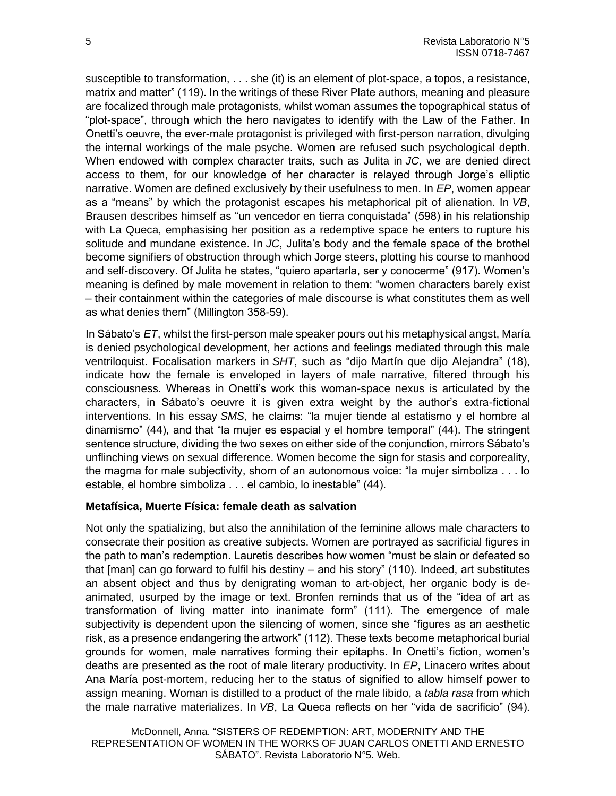susceptible to transformation, . . . she (it) is an element of plot-space, a topos, a resistance, matrix and matter" (119). In the writings of these River Plate authors, meaning and pleasure are focalized through male protagonists, whilst woman assumes the topographical status of "plot-space", through which the hero navigates to identify with the Law of the Father. In Onetti's oeuvre, the ever-male protagonist is privileged with first-person narration, divulging the internal workings of the male psyche. Women are refused such psychological depth. When endowed with complex character traits, such as Julita in *JC*, we are denied direct access to them, for our knowledge of her character is relayed through Jorge's elliptic narrative. Women are defined exclusively by their usefulness to men. In *EP*, women appear as a "means" by which the protagonist escapes his metaphorical pit of alienation. In *VB*, Brausen describes himself as "un vencedor en tierra conquistada" (598) in his relationship with La Queca, emphasising her position as a redemptive space he enters to rupture his solitude and mundane existence. In *JC*, Julita's body and the female space of the brothel become signifiers of obstruction through which Jorge steers, plotting his course to manhood and self-discovery. Of Julita he states, "quiero apartarla, ser y conocerme" (917). Women's meaning is defined by male movement in relation to them: "women characters barely exist – their containment within the categories of male discourse is what constitutes them as well as what denies them" (Millington 358-59).

In Sábato's *ET*, whilst the first-person male speaker pours out his metaphysical angst, María is denied psychological development, her actions and feelings mediated through this male ventriloquist. Focalisation markers in *SHT*, such as "dijo Martín que dijo Alejandra" (18), indicate how the female is enveloped in layers of male narrative, filtered through his consciousness. Whereas in Onetti's work this woman-space nexus is articulated by the characters, in Sábato's oeuvre it is given extra weight by the author's extra-fictional interventions. In his essay *SMS*, he claims: "la mujer tiende al estatismo y el hombre al dinamismo" (44), and that "la mujer es espacial y el hombre temporal" (44). The stringent sentence structure, dividing the two sexes on either side of the conjunction, mirrors Sábato's unflinching views on sexual difference. Women become the sign for stasis and corporeality, the magma for male subjectivity, shorn of an autonomous voice: "la mujer simboliza . . . lo estable, el hombre simboliza . . . el cambio, lo inestable" (44).

### **Metafísica, Muerte Física: female death as salvation**

Not only the spatializing, but also the annihilation of the feminine allows male characters to consecrate their position as creative subjects. Women are portrayed as sacrificial figures in the path to man's redemption. Lauretis describes how women "must be slain or defeated so that [man] can go forward to fulfil his destiny – and his story" (110). Indeed, art substitutes an absent object and thus by denigrating woman to art-object, her organic body is deanimated, usurped by the image or text. Bronfen reminds that us of the "idea of art as transformation of living matter into inanimate form" (111). The emergence of male subjectivity is dependent upon the silencing of women, since she "figures as an aesthetic risk, as a presence endangering the artwork" (112). These texts become metaphorical burial grounds for women, male narratives forming their epitaphs. In Onetti's fiction, women's deaths are presented as the root of male literary productivity. In *EP*, Linacero writes about Ana María post-mortem, reducing her to the status of signified to allow himself power to assign meaning. Woman is distilled to a product of the male libido, a *tabla rasa* from which the male narrative materializes. In *VB*, La Queca reflects on her "vida de sacrificio" (94).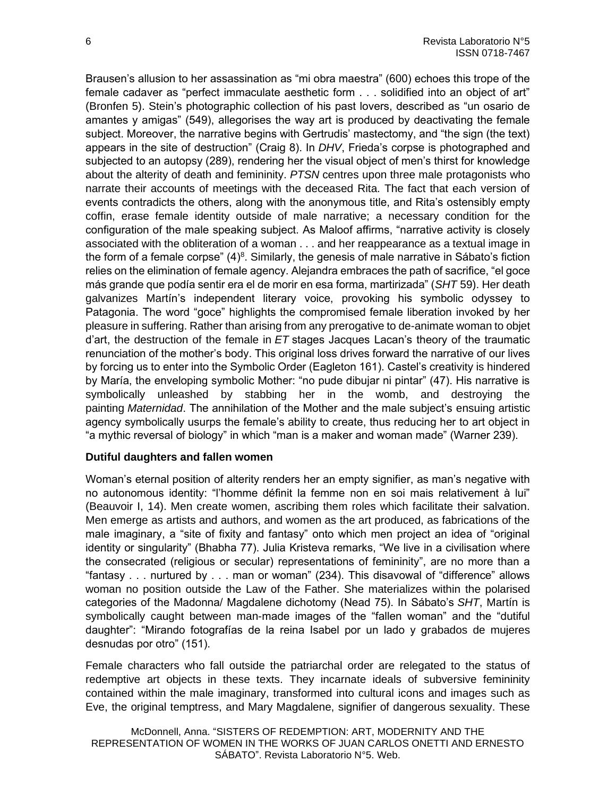Brausen's allusion to her assassination as "mi obra maestra" (600) echoes this trope of the female cadaver as "perfect immaculate aesthetic form . . . solidified into an object of art" (Bronfen 5). Stein's photographic collection of his past lovers, described as "un osario de amantes y amigas" (549), allegorises the way art is produced by deactivating the female subject. Moreover, the narrative begins with Gertrudis' mastectomy, and "the sign (the text) appears in the site of destruction" (Craig 8). In *DHV*, Frieda's corpse is photographed and subjected to an autopsy (289), rendering her the visual object of men's thirst for knowledge about the alterity of death and femininity. *PTSN* centres upon three male protagonists who narrate their accounts of meetings with the deceased Rita. The fact that each version of events contradicts the others, along with the anonymous title, and Rita's ostensibly empty coffin, erase female identity outside of male narrative; a necessary condition for the configuration of the male speaking subject. As Maloof affirms, "narrative activity is closely associated with the obliteration of a woman . . . and her reappearance as a textual image in the form of a female corpse"  $(4)^8$ . Similarly, the genesis of male narrative in Sábato's fiction relies on the elimination of female agency. Alejandra embraces the path of sacrifice, "el goce más grande que podía sentir era el de morir en esa forma, martirizada" (*SHT* 59). Her death galvanizes Martín's independent literary voice, provoking his symbolic odyssey to Patagonia. The word "goce" highlights the compromised female liberation invoked by her pleasure in suffering. Rather than arising from any prerogative to de-animate woman to objet d'art, the destruction of the female in *ET* stages Jacques Lacan's theory of the traumatic renunciation of the mother's body. This original loss drives forward the narrative of our lives by forcing us to enter into the Symbolic Order (Eagleton 161). Castel's creativity is hindered by María, the enveloping symbolic Mother: "no pude dibujar ni pintar" (47). His narrative is symbolically unleashed by stabbing her in the womb, and destroying the painting *Maternidad*. The annihilation of the Mother and the male subject's ensuing artistic agency symbolically usurps the female's ability to create, thus reducing her to art object in "a mythic reversal of biology" in which "man is a maker and woman made" (Warner 239).

### **Dutiful daughters and fallen women**

Woman's eternal position of alterity renders her an empty signifier, as man's negative with no autonomous identity: "l'homme définit la femme non en soi mais relativement à lui" (Beauvoir I, 14). Men create women, ascribing them roles which facilitate their salvation. Men emerge as artists and authors, and women as the art produced, as fabrications of the male imaginary, a "site of fixity and fantasy" onto which men project an idea of "original identity or singularity" (Bhabha 77). Julia Kristeva remarks, "We live in a civilisation where the consecrated (religious or secular) representations of femininity", are no more than a "fantasy . . . nurtured by . . . man or woman" (234). This disavowal of "difference" allows woman no position outside the Law of the Father. She materializes within the polarised categories of the Madonna/ Magdalene dichotomy (Nead 75). In Sábato's *SHT*, Martín is symbolically caught between man-made images of the "fallen woman" and the "dutiful daughter": "Mirando fotografías de la reina Isabel por un lado y grabados de mujeres desnudas por otro" (151).

Female characters who fall outside the patriarchal order are relegated to the status of redemptive art objects in these texts. They incarnate ideals of subversive femininity contained within the male imaginary, transformed into cultural icons and images such as Eve, the original temptress, and Mary Magdalene, signifier of dangerous sexuality. These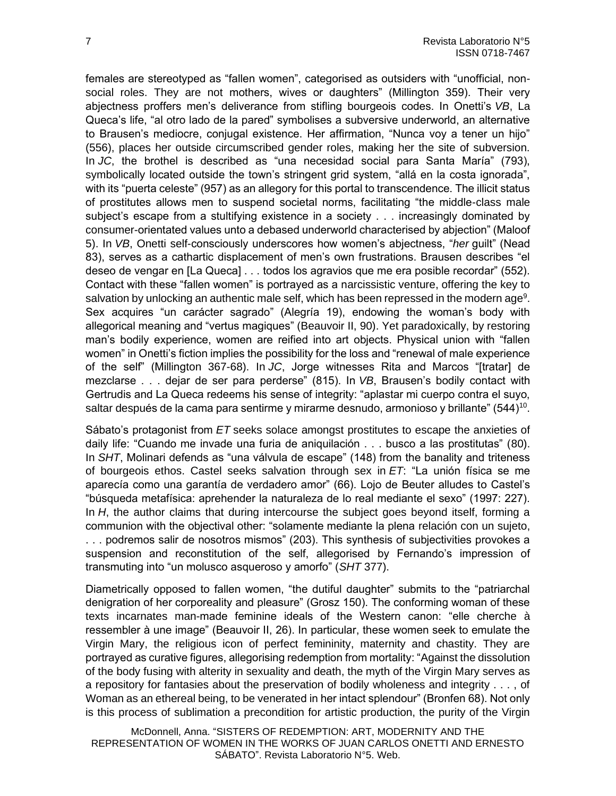females are stereotyped as "fallen women", categorised as outsiders with "unofficial, nonsocial roles. They are not mothers, wives or daughters" (Millington 359). Their very abjectness proffers men's deliverance from stifling bourgeois codes. In Onetti's *VB*, La Queca's life, "al otro lado de la pared" symbolises a subversive underworld, an alternative to Brausen's mediocre, conjugal existence. Her affirmation, "Nunca voy a tener un hijo" (556), places her outside circumscribed gender roles, making her the site of subversion. In *JC*, the brothel is described as "una necesidad social para Santa María" (793), symbolically located outside the town's stringent grid system, "allá en la costa ignorada", with its "puerta celeste" (957) as an allegory for this portal to transcendence. The illicit status of prostitutes allows men to suspend societal norms, facilitating "the middle-class male subject's escape from a stultifying existence in a society . . . increasingly dominated by consumer-orientated values unto a debased underworld characterised by abjection" (Maloof 5). In *VB*, Onetti self-consciously underscores how women's abjectness, "*her* guilt" (Nead 83), serves as a cathartic displacement of men's own frustrations. Brausen describes "el deseo de vengar en [La Queca] . . . todos los agravios que me era posible recordar" (552). Contact with these "fallen women" is portrayed as a narcissistic venture, offering the key to salvation by unlocking an authentic male self, which has been repressed in the modern age<sup>9</sup>. Sex acquires "un carácter sagrado" (Alegría 19), endowing the woman's body with allegorical meaning and "vertus magiques" (Beauvoir II, 90). Yet paradoxically, by restoring man's bodily experience, women are reified into art objects. Physical union with "fallen women" in Onetti's fiction implies the possibility for the loss and "renewal of male experience of the self" (Millington 367-68). In *JC*, Jorge witnesses Rita and Marcos "[tratar] de mezclarse . . . dejar de ser para perderse" (815). In *VB*, Brausen's bodily contact with Gertrudis and La Queca redeems his sense of integrity: "aplastar mi cuerpo contra el suyo, saltar después de la cama para sentirme y mirarme desnudo, armonioso y brillante" (544)<sup>10</sup>.

Sábato's protagonist from *ET* seeks solace amongst prostitutes to escape the anxieties of daily life: "Cuando me invade una furia de aniquilación . . . busco a las prostitutas" (80). In *SHT*, Molinari defends as "una válvula de escape" (148) from the banality and triteness of bourgeois ethos. Castel seeks salvation through sex in *ET*: "La unión física se me aparecía como una garantía de verdadero amor" (66). Lojo de Beuter alludes to Castel's "búsqueda metafísica: aprehender la naturaleza de lo real mediante el sexo" (1997: 227). In *H*, the author claims that during intercourse the subject goes beyond itself, forming a communion with the objectival other: "solamente mediante la plena relación con un sujeto, . . . podremos salir de nosotros mismos" (203). This synthesis of subjectivities provokes a suspension and reconstitution of the self, allegorised by Fernando's impression of transmuting into "un molusco asqueroso y amorfo" (*SHT* 377).

Diametrically opposed to fallen women, "the dutiful daughter" submits to the "patriarchal denigration of her corporeality and pleasure" (Grosz 150). The conforming woman of these texts incarnates man-made feminine ideals of the Western canon: "elle cherche à ressembler à une image" (Beauvoir II, 26). In particular, these women seek to emulate the Virgin Mary, the religious icon of perfect femininity, maternity and chastity. They are portrayed as curative figures, allegorising redemption from mortality: "Against the dissolution of the body fusing with alterity in sexuality and death, the myth of the Virgin Mary serves as a repository for fantasies about the preservation of bodily wholeness and integrity . . . , of Woman as an ethereal being, to be venerated in her intact splendour" (Bronfen 68). Not only is this process of sublimation a precondition for artistic production, the purity of the Virgin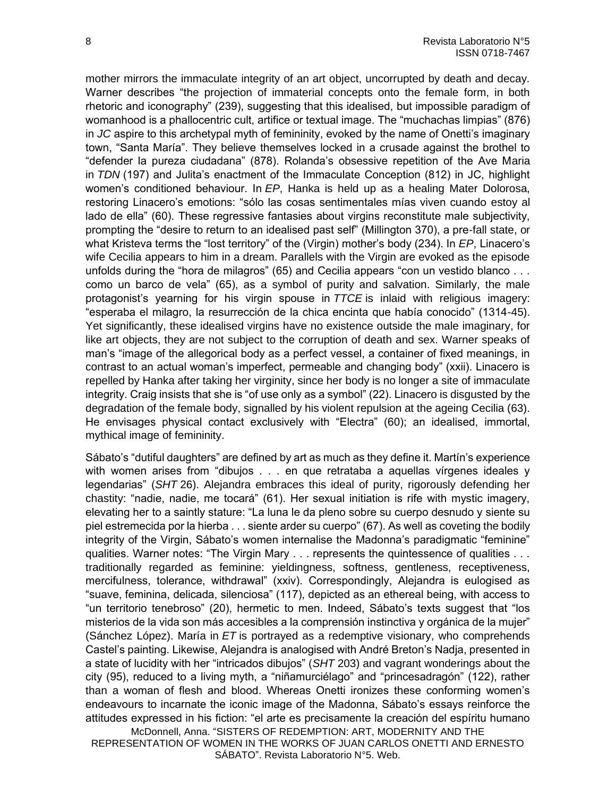mother mirrors the immaculate integrity of an art object, uncorrupted by death and decay. Warner describes "the projection of immaterial concepts onto the female form, in both rhetoric and iconography" (239), suggesting that this idealised, but impossible paradigm of womanhood is a phallocentric cult, artifice or textual image. The "muchachas limpias" (876) in *JC* aspire to this archetypal myth of femininity, evoked by the name of Onetti's imaginary town, "Santa María". They believe themselves locked in a crusade against the brothel to "defender la pureza ciudadana" (878). Rolanda's obsessive repetition of the Ave Maria in *TDN* (197) and Julita's enactment of the Immaculate Conception (812) in JC, highlight women's conditioned behaviour. In *EP*, Hanka is held up as a healing Mater Dolorosa, restoring Linacero's emotions: "sólo las cosas sentimentales mías viven cuando estoy al lado de ella" (60). These regressive fantasies about virgins reconstitute male subjectivity, prompting the "desire to return to an idealised past self" (Millington 370), a pre-fall state, or what Kristeva terms the "lost territory" of the (Virgin) mother's body (234). In *EP*, Linacero's wife Cecilia appears to him in a dream. Parallels with the Virgin are evoked as the episode unfolds during the "hora de milagros" (65) and Cecilia appears "con un vestido blanco . . . como un barco de vela" (65), as a symbol of purity and salvation. Similarly, the male protagonist's yearning for his virgin spouse in *TTCE* is inlaid with religious imagery: "esperaba el milagro, la resurrección de la chica encinta que había conocido" (1314-45). Yet significantly, these idealised virgins have no existence outside the male imaginary, for like art objects, they are not subject to the corruption of death and sex. Warner speaks of man's "image of the allegorical body as a perfect vessel, a container of fixed meanings, in contrast to an actual woman's imperfect, permeable and changing body" (xxii). Linacero is repelled by Hanka after taking her virginity, since her body is no longer a site of immaculate integrity. Craig insists that she is "of use only as a symbol" (22). Linacero is disgusted by the degradation of the female body, signalled by his violent repulsion at the ageing Cecilia (63). He envisages physical contact exclusively with "Electra" (60); an idealised, immortal, mythical image of femininity.

McDonnell, Anna. "SISTERS OF REDEMPTION: ART, MODERNITY AND THE Sábato's "dutiful daughters" are defined by art as much as they define it. Martín's experience with women arises from "dibujos . . . en que retrataba a aquellas vírgenes ideales y legendarias" (*SHT* 26). Alejandra embraces this ideal of purity, rigorously defending her chastity: "nadie, nadie, me tocará" (61). Her sexual initiation is rife with mystic imagery, elevating her to a saintly stature: "La luna le da pleno sobre su cuerpo desnudo y siente su piel estremecida por la hierba . . . siente arder su cuerpo" (67). As well as coveting the bodily integrity of the Virgin, Sábato's women internalise the Madonna's paradigmatic "feminine" qualities. Warner notes: "The Virgin Mary . . . represents the quintessence of qualities . . . traditionally regarded as feminine: yieldingness, softness, gentleness, receptiveness, mercifulness, tolerance, withdrawal" (xxiv). Correspondingly, Alejandra is eulogised as "suave, feminina, delicada, silenciosa" (117), depicted as an ethereal being, with access to "un territorio tenebroso" (20), hermetic to men. Indeed, Sábato's texts suggest that "los misterios de la vida son más accesibles a la comprensión instinctiva y orgánica de la mujer" (Sánchez López). María in *ET* is portrayed as a redemptive visionary, who comprehends Castel's painting. Likewise, Alejandra is analogised with André Breton's Nadja, presented in a state of lucidity with her "intricados dibujos" (*SHT* 203) and vagrant wonderings about the city (95), reduced to a living myth, a "niñamurciélago" and "princesadragón" (122), rather than a woman of flesh and blood. Whereas Onetti ironizes these conforming women's endeavours to incarnate the iconic image of the Madonna, Sábato's essays reinforce the attitudes expressed in his fiction: "el arte es precisamente la creación del espíritu humano

REPRESENTATION OF WOMEN IN THE WORKS OF JUAN CARLOS ONETTI AND ERNESTO SÁBATO". Revista Laboratorio N°5. Web.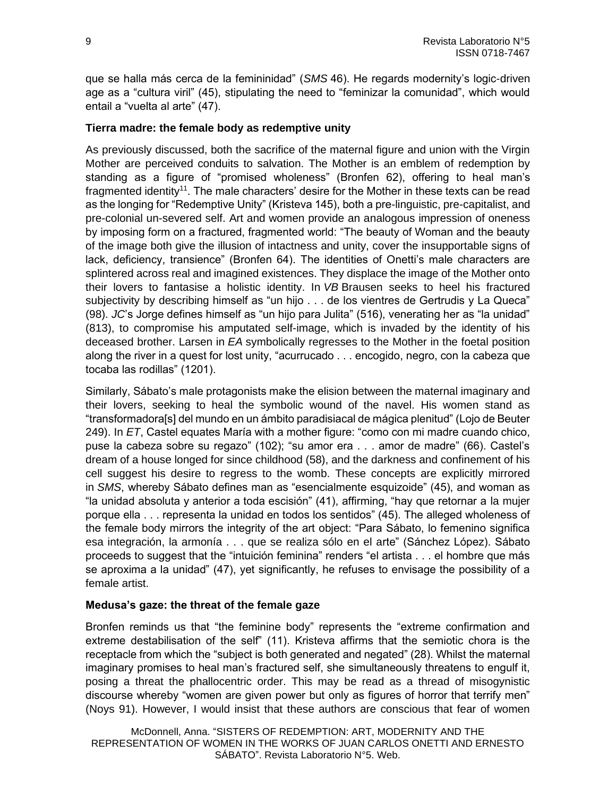que se halla más cerca de la femininidad" (*SMS* 46). He regards modernity's logic-driven age as a "cultura viril" (45), stipulating the need to "feminizar la comunidad", which would entail a "vuelta al arte" (47).

# **Tierra madre: the female body as redemptive unity**

As previously discussed, both the sacrifice of the maternal figure and union with the Virgin Mother are perceived conduits to salvation. The Mother is an emblem of redemption by standing as a figure of "promised wholeness" (Bronfen 62), offering to heal man's fragmented identity<sup>11</sup>. The male characters' desire for the Mother in these texts can be read as the longing for "Redemptive Unity" (Kristeva 145), both a pre-linguistic, pre-capitalist, and pre-colonial un-severed self. Art and women provide an analogous impression of oneness by imposing form on a fractured, fragmented world: "The beauty of Woman and the beauty of the image both give the illusion of intactness and unity, cover the insupportable signs of lack, deficiency, transience" (Bronfen 64). The identities of Onetti's male characters are splintered across real and imagined existences. They displace the image of the Mother onto their lovers to fantasise a holistic identity. In *VB* Brausen seeks to heel his fractured subjectivity by describing himself as "un hijo . . . de los vientres de Gertrudis y La Queca" (98). *JC*'s Jorge defines himself as "un hijo para Julita" (516), venerating her as "la unidad" (813), to compromise his amputated self-image, which is invaded by the identity of his deceased brother. Larsen in *EA* symbolically regresses to the Mother in the foetal position along the river in a quest for lost unity, "acurrucado . . . encogido, negro, con la cabeza que tocaba las rodillas" (1201).

Similarly, Sábato's male protagonists make the elision between the maternal imaginary and their lovers, seeking to heal the symbolic wound of the navel. His women stand as "transformadora[s] del mundo en un ámbito paradisiacal de mágica plenitud" (Lojo de Beuter 249). In *ET*, Castel equates María with a mother figure: "como con mi madre cuando chico, puse la cabeza sobre su regazo" (102); "su amor era . . . amor de madre" (66). Castel's dream of a house longed for since childhood (58), and the darkness and confinement of his cell suggest his desire to regress to the womb. These concepts are explicitly mirrored in *SMS*, whereby Sábato defines man as "esencialmente esquizoide" (45), and woman as "la unidad absoluta y anterior a toda escisión" (41), affirming, "hay que retornar a la mujer porque ella . . . representa la unidad en todos los sentidos" (45). The alleged wholeness of the female body mirrors the integrity of the art object: "Para Sábato, lo femenino significa esa integración, la armonía . . . que se realiza sólo en el arte" (Sánchez López). Sábato proceeds to suggest that the "intuición feminina" renders "el artista . . . el hombre que más se aproxima a la unidad" (47), yet significantly, he refuses to envisage the possibility of a female artist.

## **Medusa's gaze: the threat of the female gaze**

Bronfen reminds us that "the feminine body" represents the "extreme confirmation and extreme destabilisation of the self" (11). Kristeva affirms that the semiotic chora is the receptacle from which the "subject is both generated and negated" (28). Whilst the maternal imaginary promises to heal man's fractured self, she simultaneously threatens to engulf it, posing a threat the phallocentric order. This may be read as a thread of misogynistic discourse whereby "women are given power but only as figures of horror that terrify men" (Noys 91). However, I would insist that these authors are conscious that fear of women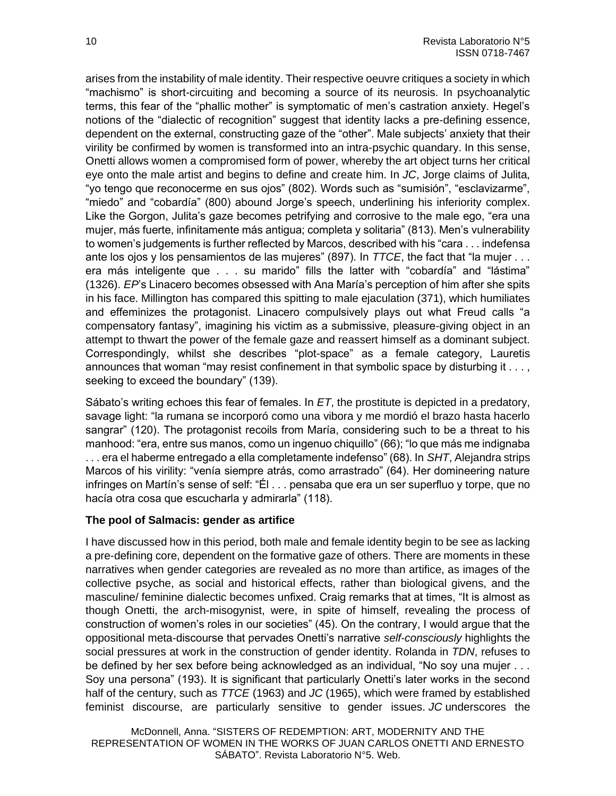arises from the instability of male identity. Their respective oeuvre critiques a society in which "machismo" is short-circuiting and becoming a source of its neurosis. In psychoanalytic terms, this fear of the "phallic mother" is symptomatic of men's castration anxiety. Hegel's notions of the "dialectic of recognition" suggest that identity lacks a pre-defining essence, dependent on the external, constructing gaze of the "other". Male subjects' anxiety that their virility be confirmed by women is transformed into an intra-psychic quandary. In this sense, Onetti allows women a compromised form of power, whereby the art object turns her critical eye onto the male artist and begins to define and create him. In *JC*, Jorge claims of Julita, "yo tengo que reconocerme en sus ojos" (802). Words such as "sumisión", "esclavizarme", "miedo" and "cobardía" (800) abound Jorge's speech, underlining his inferiority complex. Like the Gorgon, Julita's gaze becomes petrifying and corrosive to the male ego, "era una mujer, más fuerte, infinitamente más antigua; completa y solitaria" (813). Men's vulnerability to women's judgements is further reflected by Marcos, described with his "cara . . . indefensa ante los ojos y los pensamientos de las mujeres" (897). In *TTCE*, the fact that "la mujer . . . era más inteligente que . . . su marido" fills the latter with "cobardía" and "lástima" (1326). *EP*'s Linacero becomes obsessed with Ana María's perception of him after she spits in his face. Millington has compared this spitting to male ejaculation (371), which humiliates and effeminizes the protagonist. Linacero compulsively plays out what Freud calls "a compensatory fantasy", imagining his victim as a submissive, pleasure-giving object in an attempt to thwart the power of the female gaze and reassert himself as a dominant subject. Correspondingly, whilst she describes "plot-space" as a female category, Lauretis announces that woman "may resist confinement in that symbolic space by disturbing it . . . , seeking to exceed the boundary" (139).

Sábato's writing echoes this fear of females. In *ET*, the prostitute is depicted in a predatory, savage light: "la rumana se incorporó como una vibora y me mordió el brazo hasta hacerlo sangrar" (120). The protagonist recoils from María, considering such to be a threat to his manhood: "era, entre sus manos, como un ingenuo chiquillo" (66); "lo que más me indignaba . . . era el haberme entregado a ella completamente indefenso" (68). In *SHT*, Alejandra strips Marcos of his virility: "venía siempre atrás, como arrastrado" (64). Her domineering nature infringes on Martín's sense of self: "Él . . . pensaba que era un ser superfluo y torpe, que no hacía otra cosa que escucharla y admirarla" (118).

## **The pool of Salmacis: gender as artifice**

I have discussed how in this period, both male and female identity begin to be see as lacking a pre-defining core, dependent on the formative gaze of others. There are moments in these narratives when gender categories are revealed as no more than artifice, as images of the collective psyche, as social and historical effects, rather than biological givens, and the masculine/ feminine dialectic becomes unfixed. Craig remarks that at times, "It is almost as though Onetti, the arch-misogynist, were, in spite of himself, revealing the process of construction of women's roles in our societies" (45). On the contrary, I would argue that the oppositional meta-discourse that pervades Onetti's narrative *self-consciously* highlights the social pressures at work in the construction of gender identity. Rolanda in *TDN*, refuses to be defined by her sex before being acknowledged as an individual, "No soy una mujer . . . Soy una persona" (193). It is significant that particularly Onetti's later works in the second half of the century, such as *TTCE* (1963) and *JC* (1965), which were framed by established feminist discourse, are particularly sensitive to gender issues. *JC* underscores the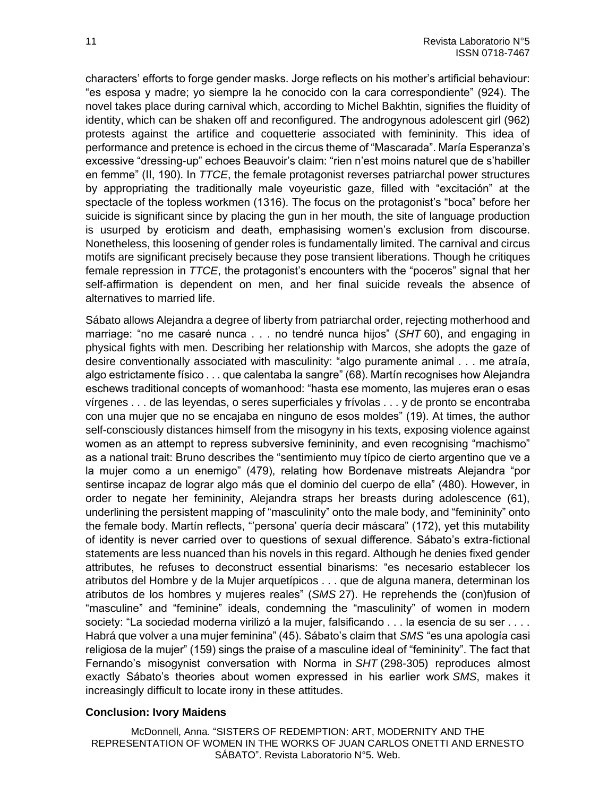characters' efforts to forge gender masks. Jorge reflects on his mother's artificial behaviour: "es esposa y madre; yo siempre la he conocido con la cara correspondiente" (924). The novel takes place during carnival which, according to Michel Bakhtin, signifies the fluidity of identity, which can be shaken off and reconfigured. The androgynous adolescent girl (962) protests against the artifice and coquetterie associated with femininity. This idea of performance and pretence is echoed in the circus theme of "Mascarada". María Esperanza's excessive "dressing-up" echoes Beauvoir's claim: "rien n'est moins naturel que de s'habiller en femme" (II, 190). In *TTCE*, the female protagonist reverses patriarchal power structures by appropriating the traditionally male voyeuristic gaze, filled with "excitación" at the spectacle of the topless workmen (1316). The focus on the protagonist's "boca" before her suicide is significant since by placing the gun in her mouth, the site of language production is usurped by eroticism and death, emphasising women's exclusion from discourse. Nonetheless, this loosening of gender roles is fundamentally limited. The carnival and circus motifs are significant precisely because they pose transient liberations. Though he critiques female repression in *TTCE*, the protagonist's encounters with the "poceros" signal that her self-affirmation is dependent on men, and her final suicide reveals the absence of alternatives to married life.

Sábato allows Alejandra a degree of liberty from patriarchal order, rejecting motherhood and marriage: "no me casaré nunca . . . no tendré nunca hijos" (*SHT* 60), and engaging in physical fights with men. Describing her relationship with Marcos, she adopts the gaze of desire conventionally associated with masculinity: "algo puramente animal . . . me atraía, algo estrictamente físico . . . que calentaba la sangre" (68). Martín recognises how Alejandra eschews traditional concepts of womanhood: "hasta ese momento, las mujeres eran o esas vírgenes . . . de las leyendas, o seres superficiales y frívolas . . . y de pronto se encontraba con una mujer que no se encajaba en ninguno de esos moldes" (19). At times, the author self-consciously distances himself from the misogyny in his texts, exposing violence against women as an attempt to repress subversive femininity, and even recognising "machismo" as a national trait: Bruno describes the "sentimiento muy típico de cierto argentino que ve a la mujer como a un enemigo" (479), relating how Bordenave mistreats Alejandra "por sentirse incapaz de lograr algo más que el dominio del cuerpo de ella" (480). However, in order to negate her femininity, Alejandra straps her breasts during adolescence (61), underlining the persistent mapping of "masculinity" onto the male body, and "femininity" onto the female body. Martín reflects, "'persona' quería decir máscara" (172), yet this mutability of identity is never carried over to questions of sexual difference. Sábato's extra-fictional statements are less nuanced than his novels in this regard. Although he denies fixed gender attributes, he refuses to deconstruct essential binarisms: "es necesario establecer los atributos del Hombre y de la Mujer arquetípicos . . . que de alguna manera, determinan los atributos de los hombres y mujeres reales" (*SMS* 27). He reprehends the (con)fusion of "masculine" and "feminine" ideals, condemning the "masculinity" of women in modern society: "La sociedad moderna virilizó a la mujer, falsificando . . . la esencia de su ser . . . . Habrá que volver a una mujer feminina" (45). Sábato's claim that *SMS* "es una apología casi religiosa de la mujer" (159) sings the praise of a masculine ideal of "femininity". The fact that Fernando's misogynist conversation with Norma in *SHT* (298-305) reproduces almost exactly Sábato's theories about women expressed in his earlier work *SMS*, makes it increasingly difficult to locate irony in these attitudes.

### **Conclusion: Ivory Maidens**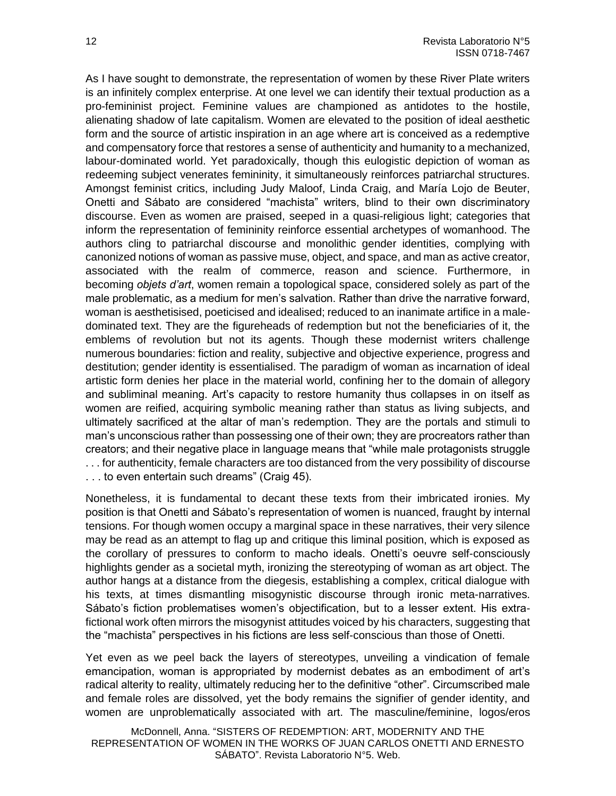As I have sought to demonstrate, the representation of women by these River Plate writers is an infinitely complex enterprise. At one level we can identify their textual production as a pro-femininist project. Feminine values are championed as antidotes to the hostile, alienating shadow of late capitalism. Women are elevated to the position of ideal aesthetic form and the source of artistic inspiration in an age where art is conceived as a redemptive and compensatory force that restores a sense of authenticity and humanity to a mechanized, labour-dominated world. Yet paradoxically, though this eulogistic depiction of woman as redeeming subject venerates femininity, it simultaneously reinforces patriarchal structures. Amongst feminist critics, including Judy Maloof, Linda Craig, and María Lojo de Beuter, Onetti and Sábato are considered "machista" writers, blind to their own discriminatory discourse. Even as women are praised, seeped in a quasi-religious light; categories that inform the representation of femininity reinforce essential archetypes of womanhood. The authors cling to patriarchal discourse and monolithic gender identities, complying with canonized notions of woman as passive muse, object, and space, and man as active creator, associated with the realm of commerce, reason and science. Furthermore, in becoming *objets d'art*, women remain a topological space, considered solely as part of the male problematic, as a medium for men's salvation. Rather than drive the narrative forward, woman is aesthetisised, poeticised and idealised; reduced to an inanimate artifice in a maledominated text. They are the figureheads of redemption but not the beneficiaries of it, the emblems of revolution but not its agents. Though these modernist writers challenge numerous boundaries: fiction and reality, subjective and objective experience, progress and destitution; gender identity is essentialised. The paradigm of woman as incarnation of ideal artistic form denies her place in the material world, confining her to the domain of allegory and subliminal meaning. Art's capacity to restore humanity thus collapses in on itself as women are reified, acquiring symbolic meaning rather than status as living subjects, and ultimately sacrificed at the altar of man's redemption. They are the portals and stimuli to man's unconscious rather than possessing one of their own; they are procreators rather than creators; and their negative place in language means that "while male protagonists struggle . . . for authenticity, female characters are too distanced from the very possibility of discourse . . . to even entertain such dreams" (Craig 45).

Nonetheless, it is fundamental to decant these texts from their imbricated ironies. My position is that Onetti and Sábato's representation of women is nuanced, fraught by internal tensions. For though women occupy a marginal space in these narratives, their very silence may be read as an attempt to flag up and critique this liminal position, which is exposed as the corollary of pressures to conform to macho ideals. Onetti's oeuvre self-consciously highlights gender as a societal myth, ironizing the stereotyping of woman as art object. The author hangs at a distance from the diegesis, establishing a complex, critical dialogue with his texts, at times dismantling misogynistic discourse through ironic meta-narratives. Sábato's fiction problematises women's objectification, but to a lesser extent. His extrafictional work often mirrors the misogynist attitudes voiced by his characters, suggesting that the "machista" perspectives in his fictions are less self-conscious than those of Onetti.

Yet even as we peel back the layers of stereotypes, unveiling a vindication of female emancipation, woman is appropriated by modernist debates as an embodiment of art's radical alterity to reality, ultimately reducing her to the definitive "other". Circumscribed male and female roles are dissolved, yet the body remains the signifier of gender identity, and women are unproblematically associated with art. The masculine/feminine, logos/eros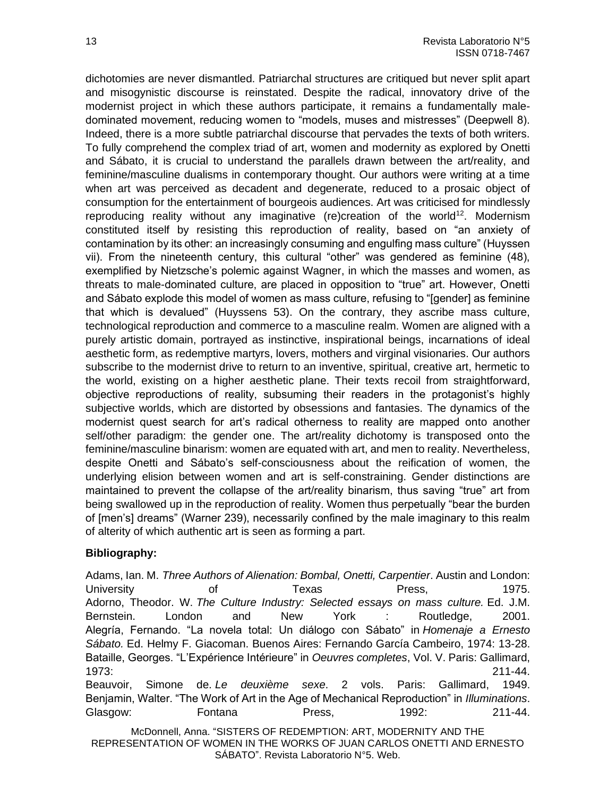dichotomies are never dismantled. Patriarchal structures are critiqued but never split apart and misogynistic discourse is reinstated. Despite the radical, innovatory drive of the modernist project in which these authors participate, it remains a fundamentally maledominated movement, reducing women to "models, muses and mistresses" (Deepwell 8). Indeed, there is a more subtle patriarchal discourse that pervades the texts of both writers. To fully comprehend the complex triad of art, women and modernity as explored by Onetti and Sábato, it is crucial to understand the parallels drawn between the art/reality, and feminine/masculine dualisms in contemporary thought. Our authors were writing at a time when art was perceived as decadent and degenerate, reduced to a prosaic object of consumption for the entertainment of bourgeois audiences. Art was criticised for mindlessly reproducing reality without any imaginative (re)creation of the world<sup>12</sup>. Modernism constituted itself by resisting this reproduction of reality, based on "an anxiety of contamination by its other: an increasingly consuming and engulfing mass culture" (Huyssen vii). From the nineteenth century, this cultural "other" was gendered as feminine (48), exemplified by Nietzsche's polemic against Wagner, in which the masses and women, as threats to male-dominated culture, are placed in opposition to "true" art. However, Onetti and Sábato explode this model of women as mass culture, refusing to "[gender] as feminine that which is devalued" (Huyssens 53). On the contrary, they ascribe mass culture, technological reproduction and commerce to a masculine realm. Women are aligned with a purely artistic domain, portrayed as instinctive, inspirational beings, incarnations of ideal aesthetic form, as redemptive martyrs, lovers, mothers and virginal visionaries. Our authors subscribe to the modernist drive to return to an inventive, spiritual, creative art, hermetic to the world, existing on a higher aesthetic plane. Their texts recoil from straightforward, objective reproductions of reality, subsuming their readers in the protagonist's highly subjective worlds, which are distorted by obsessions and fantasies. The dynamics of the modernist quest search for art's radical otherness to reality are mapped onto another self/other paradigm: the gender one. The art/reality dichotomy is transposed onto the feminine/masculine binarism: women are equated with art, and men to reality. Nevertheless, despite Onetti and Sábato's self-consciousness about the reification of women, the underlying elision between women and art is self-constraining. Gender distinctions are maintained to prevent the collapse of the art/reality binarism, thus saving "true" art from being swallowed up in the reproduction of reality. Women thus perpetually "bear the burden of [men's] dreams" (Warner 239), necessarily confined by the male imaginary to this realm of alterity of which authentic art is seen as forming a part.

## **Bibliography:**

Adams, Ian. M. *Three Authors of Alienation: Bombal, Onetti, Carpentier*. Austin and London: University of Texas Press, 1975. Adorno, Theodor. W. *The Culture Industry: Selected essays on mass culture.* Ed. J.M. Bernstein. London and New York : Routledge, 2001. Alegría, Fernando. "La novela total: Un diálogo con Sábato" in *Homenaje a Ernesto Sábato.* Ed. Helmy F. Giacoman. Buenos Aires: Fernando García Cambeiro, 1974: 13-28. Bataille, Georges. "L'Expérience Intérieure" in *Oeuvres completes*, Vol. V. Paris: Gallimard, 1973: 211-44. Beauvoir, Simone de. *Le deuxième sexe*. 2 vols. Paris: Gallimard, 1949. Benjamin, Walter. "The Work of Art in the Age of Mechanical Reproduction" in *Illuminations*. Glasgow: Fontana Press, 1992: 211-44.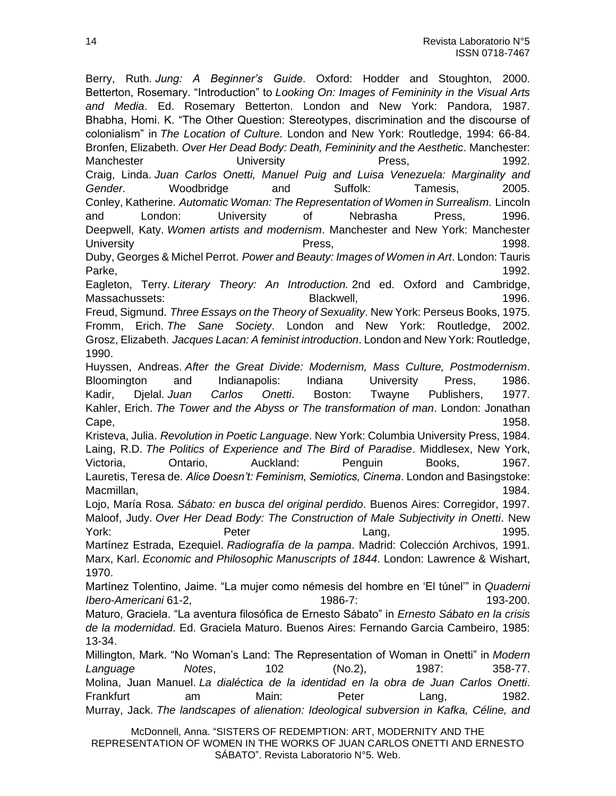Berry, Ruth. *Jung: A Beginner's Guide*. Oxford: Hodder and Stoughton, 2000. Betterton, Rosemary. "Introduction" to *Looking On: Images of Femininity in the Visual Arts and Media*. Ed. Rosemary Betterton. London and New York: Pandora, 1987. Bhabha, Homi. K. "The Other Question: Stereotypes, discrimination and the discourse of colonialism" in *The Location of Culture*. London and New York: Routledge, 1994: 66-84. Bronfen, Elizabeth. *Over Her Dead Body: Death, Femininity and the Aesthetic*. Manchester: Manchester **Example 20** University **Press, 2006** Press, 2009 1992. Craig, Linda. *Juan Carlos Onetti, Manuel Puig and Luisa Venezuela: Marginality and Gender*. Woodbridge and Suffolk: Tamesis, 2005. Conley, Katherine. *Automatic Woman: The Representation of Women in Surrealism.* Lincoln and London: University of Nebrasha Press, 1996. Deepwell, Katy. *Women artists and modernism*. Manchester and New York: Manchester University 1998. Duby, Georges & Michel Perrot. *Power and Beauty: Images of Women in Art*. London: Tauris Parke, 2008. The state of the state of the state of the state of the state of the state of the state of the state of the state of the state of the state of the state of the state of the state of the state of the state of t Eagleton, Terry. *Literary Theory: An Introduction.* 2nd ed. Oxford and Cambridge, Massachussets: etc. in the Blackwell, the Blackwell, the control of the control of the matter of the term of the term of the term of the term of the term of the term of the term of the term of the term of term of the term Freud, Sigmund. *Three Essays on the Theory of Sexuality*. New York: Perseus Books, 1975. Fromm, Erich. *The Sane Society*. London and New York: Routledge, 2002. Grosz, Elizabeth. *Jacques Lacan: A feminist introduction*. London and New York: Routledge, 1990. Huyssen, Andreas. *After the Great Divide: Modernism, Mass Culture, Postmodernism*. Bloomington and Indianapolis: Indiana University Press, 1986. Kadir, Djelal. *Juan Carlos Onetti*. Boston: Twayne Publishers, 1977. Kahler, Erich. *The Tower and the Abyss or The transformation of man*. London: Jonathan Cape, 2008. 2009. 2012. 2013. 2014. 2015. 2016. 2017. 2018. 2017. 2018. 2019. 2017. 2018. 2019. 2017. 2018. 20 Kristeva, Julia. *Revolution in Poetic Language*. New York: Columbia University Press, 1984. Laing, R.D. *The Politics of Experience and The Bird of Paradise*. Middlesex, New York, Victoria, Ontario, Auckland: Penguin Books, 1967. Lauretis, Teresa de. *Alice Doesn't: Feminism, Semiotics, Cinema*. London and Basingstoke: Macmillan, 1984. Lojo, María Rosa. *Sábato: en busca del original perdido*. Buenos Aires: Corregidor, 1997. Maloof, Judy. *Over Her Dead Body: The Construction of Male Subjectivity in Onetti*. New York: Peter Peter Lang, 2005. Martínez Estrada, Ezequiel. *Radiografía de la pampa*. Madrid: Colección Archivos, 1991. Marx, Karl. *Economic and Philosophic Manuscripts of 1844*. London: Lawrence & Wishart, 1970. Martínez Tolentino, Jaime. "La mujer como némesis del hombre en 'El túnel'" in *Quaderni Ibero-Americani* 61-2, 1986-7: 193-200. Maturo, Graciela. "La aventura filosófica de Ernesto Sábato" in *Ernesto Sábato en la crisis de la modernidad*. Ed. Graciela Maturo. Buenos Aires: Fernando Garcia Cambeiro, 1985: 13-34. Millington, Mark. "No Woman's Land: The Representation of Woman in Onetti" in *Modern Language Notes*, 102 (No.2), 1987: 358-77. Molina, Juan Manuel. *La dialéctica de la identidad en la obra de Juan Carlos Onetti*. Frankfurt am Main: Peter Lang, 1982. Murray, Jack. *The landscapes of alienation: Ideological subversion in Kafka, Céline, and*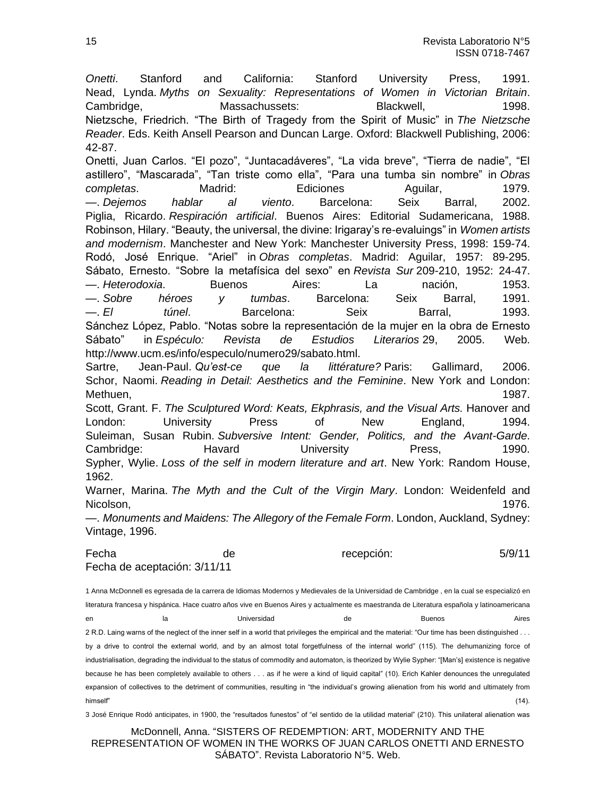*Onetti*. Stanford and California: Stanford University Press, 1991. Nead, Lynda. *Myths on Sexuality: Representations of Women in Victorian Britain*. Cambridge, Massachussets: Blackwell, 1998. Nietzsche, Friedrich. "The Birth of Tragedy from the Spirit of Music" in *The Nietzsche Reader*. Eds. Keith Ansell Pearson and Duncan Large. Oxford: Blackwell Publishing, 2006: 42-87.

Onetti, Juan Carlos. "El pozo", "Juntacadáveres", "La vida breve", "Tierra de nadie", "El astillero", "Mascarada", "Tan triste como ella", "Para una tumba sin nombre" in *Obras completas*. Madrid: Ediciones Aguilar, 1979. —. *Dejemos hablar al viento*. Barcelona: Seix Barral, 2002. Piglia, Ricardo. *Respiración artificial*. Buenos Aires: Editorial Sudamericana, 1988. Robinson, Hilary. "Beauty, the universal, the divine: Irigaray's re-evaluings" in *Women artists and modernism*. Manchester and New York: Manchester University Press, 1998: 159-74. Rodó, José Enrique. "Ariel" in *Obras completas*. Madrid: Aguilar, 1957: 89-295. Sábato, Ernesto. "Sobre la metafísica del sexo" en *Revista Sur* 209-210, 1952: 24-47. —. *Heterodoxia*. Buenos Aires: La nación, 1953. —. *Sobre héroes y tumbas*. Barcelona: Seix Barral, 1991. —. *El túnel*. Barcelona: Seix Barral, 1993. Sánchez López, Pablo. "Notas sobre la representación de la mujer en la obra de Ernesto Sábato" in *Espéculo: Revista de Estudios Literarios* 29, 2005. Web. http://www.ucm.es/info/especulo/numero29/sabato.html.

Sartre, Jean-Paul. *Qu'est-ce que la littérature?* Paris: Gallimard, 2006. Schor, Naomi. *Reading in Detail: Aesthetics and the Feminine*. New York and London: Methuen, 1987.

Scott, Grant. F. *The Sculptured Word: Keats, Ekphrasis, and the Visual Arts.* Hanover and London: University Press of New England, 1994. Suleiman, Susan Rubin. *Subversive Intent: Gender, Politics, and the Avant-Garde*. Cambridge: Havard University Press, 1990. Sypher, Wylie. *Loss of the self in modern literature and art*. New York: Random House, 1962.

Warner, Marina. *The Myth and the Cult of the Virgin Mary*. London: Weidenfeld and Nicolson, 1976.

—. *Monuments and Maidens: The Allegory of the Female Form*. London, Auckland, Sydney: Vintage, 1996.

Fecha de recepción: 5/9/11 Fecha de aceptación: 3/11/11

1 Anna McDonnell es egresada de la carrera de Idiomas Modernos y Medievales de la Universidad de Cambridge , en la cual se especializó en literatura francesa y hispánica. Hace cuatro años vive en Buenos Aires y actualmente es maestranda de Literatura española y latinoamericana en la Universidad de Buenos Aires 2 R.D. Laing warns of the neglect of the inner self in a world that privileges the empirical and the material: "Our time has been distinguished . . . by a drive to control the external world, and by an almost total forgetfulness of the internal world" (115). The dehumanizing force of industrialisation, degrading the individual to the status of commodity and automaton, is theorized by Wylie Sypher: "[Man's] existence is negative because he has been completely available to others . . . as if he were a kind of liquid capital" (10). Erich Kahler denounces the unregulated expansion of collectives to the detriment of communities, resulting in "the individual's growing alienation from his world and ultimately from himself" (14).

3 José Enrique Rodó anticipates, in 1900, the "resultados funestos" of "el sentido de la utilidad material" (210). This unilateral alienation was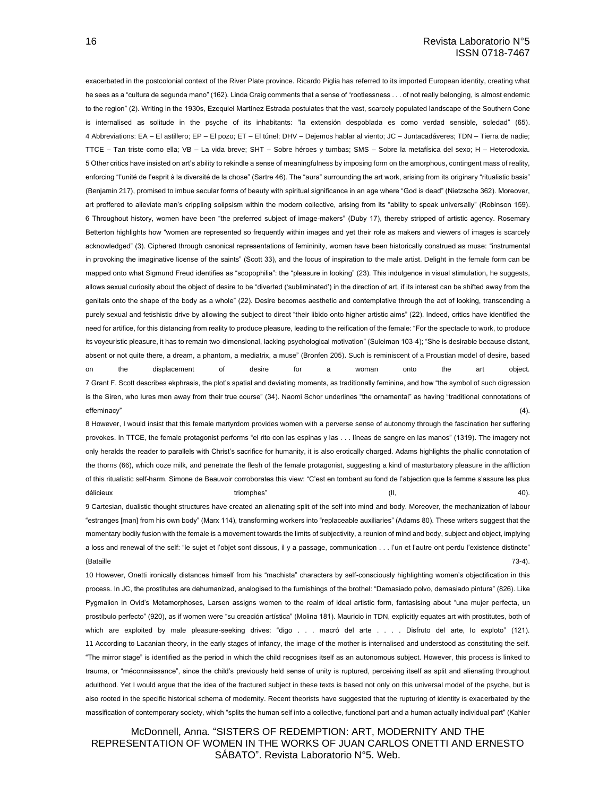exacerbated in the postcolonial context of the River Plate province. Ricardo Piglia has referred to its imported European identity, creating what he sees as a "cultura de segunda mano" (162). Linda Craig comments that a sense of "rootlessness . . . of not really belonging, is almost endemic to the region" (2). Writing in the 1930s, Ezequiel Martínez Estrada postulates that the vast, scarcely populated landscape of the Southern Cone is internalised as solitude in the psyche of its inhabitants: "la extensión despoblada es como verdad sensible, soledad" (65). 4 Abbreviations: EA – El astillero; EP – El pozo; ET – El túnel; DHV – Dejemos hablar al viento; JC – Juntacadáveres; TDN – Tierra de nadie; TTCE – Tan triste como ella; VB – La vida breve; SHT – Sobre héroes y tumbas; SMS – Sobre la metafísica del sexo; H – Heterodoxia. 5 Other critics have insisted on art's ability to rekindle a sense of meaningfulness by imposing form on the amorphous, contingent mass of reality, enforcing "l'unité de l'esprit à la diversité de la chose" (Sartre 46). The "aura" surrounding the art work, arising from its originary "ritualistic basis" (Benjamin 217), promised to imbue secular forms of beauty with spiritual significance in an age where "God is dead" (Nietzsche 362). Moreover, art proffered to alleviate man's crippling solipsism within the modern collective, arising from its "ability to speak universally" (Robinson 159). 6 Throughout history, women have been "the preferred subject of image-makers" (Duby 17), thereby stripped of artistic agency. Rosemary Betterton highlights how "women are represented so frequently within images and yet their role as makers and viewers of images is scarcely acknowledged" (3). Ciphered through canonical representations of femininity, women have been historically construed as muse: "instrumental in provoking the imaginative license of the saints" (Scott 33), and the locus of inspiration to the male artist. Delight in the female form can be mapped onto what Sigmund Freud identifies as "scopophilia": the "pleasure in looking" (23). This indulgence in visual stimulation, he suggests, allows sexual curiosity about the object of desire to be "diverted ('subliminated') in the direction of art, if its interest can be shifted away from the genitals onto the shape of the body as a whole" (22). Desire becomes aesthetic and contemplative through the act of looking, transcending a purely sexual and fetishistic drive by allowing the subject to direct "their libido onto higher artistic aims" (22). Indeed, critics have identified the need for artifice, for this distancing from reality to produce pleasure, leading to the reification of the female: "For the spectacle to work, to produce its voyeuristic pleasure, it has to remain two-dimensional, lacking psychological motivation" (Suleiman 103-4); "She is desirable because distant, absent or not quite there, a dream, a phantom, a mediatrix, a muse" (Bronfen 205). Such is reminiscent of a Proustian model of desire, based on the displacement of desire for a woman onto the art object. 7 Grant F. Scott describes ekphrasis, the plot's spatial and deviating moments, as traditionally feminine, and how "the symbol of such digression is the Siren, who lures men away from their true course" (34). Naomi Schor underlines "the ornamental" as having "traditional connotations of effeminacy" (4).

8 However, I would insist that this female martyrdom provides women with a perverse sense of autonomy through the fascination her suffering provokes. In TTCE, the female protagonist performs "el rito con las espinas y las . . . líneas de sangre en las manos" (1319). The imagery not only heralds the reader to parallels with Christ's sacrifice for humanity, it is also erotically charged. Adams highlights the phallic connotation of the thorns (66), which ooze milk, and penetrate the flesh of the female protagonist, suggesting a kind of masturbatory pleasure in the affliction of this ritualistic self-harm. Simone de Beauvoir corroborates this view: "C'est en tombant au fond de l'abjection que la femme s'assure les plus délicieux triomphes" (II, 40).

9 Cartesian, dualistic thought structures have created an alienating split of the self into mind and body. Moreover, the mechanization of labour "estranges [man] from his own body" (Marx 114), transforming workers into "replaceable auxiliaries" (Adams 80). These writers suggest that the momentary bodily fusion with the female is a movement towards the limits of subjectivity, a reunion of mind and body, subject and object, implying a loss and renewal of the self: "le sujet et l'objet sont dissous, il y a passage, communication . . . l'un et l'autre ont perdu l'existence distincte" (Bataille 73-4).

10 However, Onetti ironically distances himself from his "machista" characters by self-consciously highlighting women's objectification in this process. In JC, the prostitutes are dehumanized, analogised to the furnishings of the brothel: "Demasiado polvo, demasiado pintura" (826). Like Pygmalion in Ovid's Metamorphoses, Larsen assigns women to the realm of ideal artistic form, fantasising about "una mujer perfecta, un prostíbulo perfecto" (920), as if women were "su creación artística" (Molina 181). Mauricio in TDN, explicitly equates art with prostitutes, both of which are exploited by male pleasure-seeking drives: "digo . . . macró del arte . . . . Disfruto del arte, lo exploto" (121). 11 According to Lacanian theory, in the early stages of infancy, the image of the mother is internalised and understood as constituting the self. "The mirror stage" is identified as the period in which the child recognises itself as an autonomous subject. However, this process is linked to trauma, or "méconnaissance", since the child's previously held sense of unity is ruptured, perceiving itself as split and alienating throughout adulthood. Yet I would argue that the idea of the fractured subject in these texts is based not only on this universal model of the psyche, but is also rooted in the specific historical schema of modernity. Recent theorists have suggested that the rupturing of identity is exacerbated by the massification of contemporary society, which "splits the human self into a collective, functional part and a human actually individual part" (Kahler